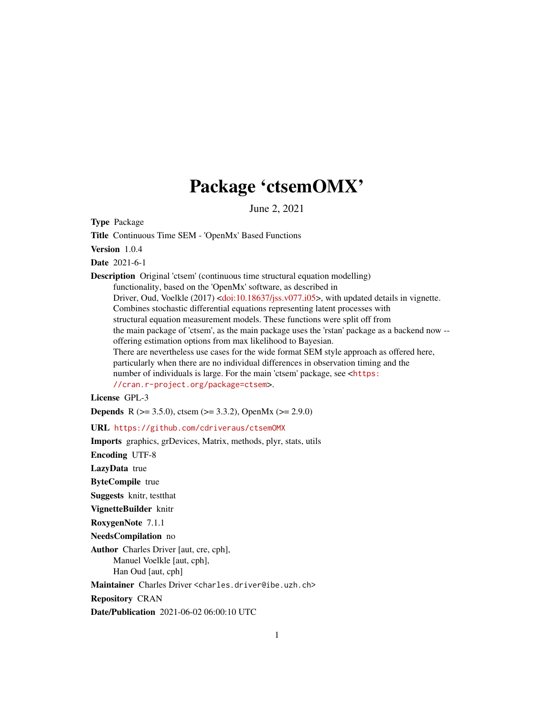# Package 'ctsemOMX'

June 2, 2021

<span id="page-0-0"></span>Type Package

Title Continuous Time SEM - 'OpenMx' Based Functions

Version 1.0.4

Date 2021-6-1

Description Original 'ctsem' (continuous time structural equation modelling) functionality, based on the 'OpenMx' software, as described in Driver, Oud, Voelkle (2017) [<doi:10.18637/jss.v077.i05>](https://doi.org/10.18637/jss.v077.i05), with updated details in vignette. Combines stochastic differential equations representing latent processes with structural equation measurement models. These functions were split off from the main package of 'ctsem', as the main package uses the 'rstan' package as a backend now - offering estimation options from max likelihood to Bayesian. There are nevertheless use cases for the wide format SEM style approach as offered here, particularly when there are no individual differences in observation timing and the number of individuals is large. For the main 'ctsem' package, see <[https:](https://cran.r-project.org/package=ctsem) [//cran.r-project.org/package=ctsem](https://cran.r-project.org/package=ctsem)>.

License GPL-3

**Depends** R ( $>= 3.5.0$ ), ctsem ( $>= 3.3.2$ ), OpenMx ( $>= 2.9.0$ )

URL <https://github.com/cdriveraus/ctsemOMX>

Imports graphics, grDevices, Matrix, methods, plyr, stats, utils

Encoding UTF-8

LazyData true

ByteCompile true

Suggests knitr, testthat

VignetteBuilder knitr

RoxygenNote 7.1.1

NeedsCompilation no

Author Charles Driver [aut, cre, cph], Manuel Voelkle [aut, cph], Han Oud [aut, cph]

Maintainer Charles Driver <charles.driver@ibe.uzh.ch>

Repository CRAN

Date/Publication 2021-06-02 06:00:10 UTC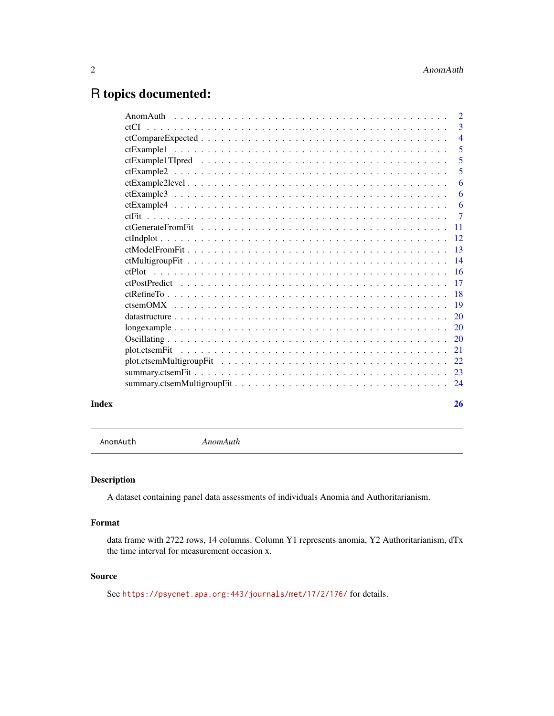# <span id="page-1-0"></span>R topics documented:

|       | $\overline{3}$             |
|-------|----------------------------|
|       | $\overline{4}$             |
|       | $\overline{\phantom{0}}$ 5 |
|       | 5                          |
|       | 5                          |
|       | 6                          |
|       | 6                          |
|       |                            |
|       |                            |
|       |                            |
|       |                            |
|       |                            |
|       |                            |
|       |                            |
|       |                            |
|       |                            |
|       |                            |
|       |                            |
|       |                            |
|       |                            |
|       |                            |
|       |                            |
|       |                            |
|       |                            |
|       |                            |
| Index | 26                         |

AnomAuth *AnomAuth*

# Description

A dataset containing panel data assessments of individuals Anomia and Authoritarianism.

# Format

data frame with 2722 rows, 14 columns. Column Y1 represents anomia, Y2 Authoritarianism, dTx the time interval for measurement occasion x.

# Source

See <https://psycnet.apa.org:443/journals/met/17/2/176/> for details.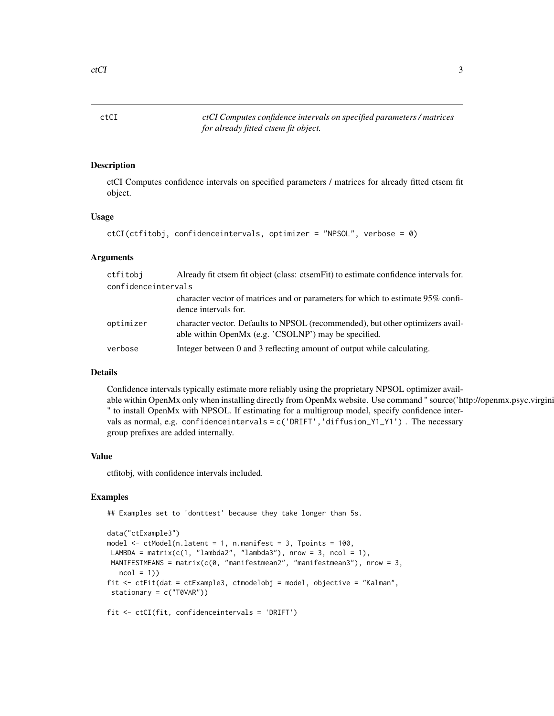<span id="page-2-1"></span><span id="page-2-0"></span>ctCI *ctCI Computes confidence intervals on specified parameters / matrices for already fitted ctsem fit object.*

### Description

ctCI Computes confidence intervals on specified parameters / matrices for already fitted ctsem fit object.

#### Usage

```
ctCI(ctfitobj, confidenceintervals, optimizer = "NPSOL", verbose = 0)
```
#### Arguments

| ctfitobi            | Already fit ctsem fit object (class: ctsem Fit) to estimate confidence intervals for.                                                  |
|---------------------|----------------------------------------------------------------------------------------------------------------------------------------|
| confidenceintervals |                                                                                                                                        |
|                     | character vector of matrices and or parameters for which to estimate 95% confi-<br>dence intervals for.                                |
| optimizer           | character vector. Defaults to NPSOL (recommended), but other optimizers avail-<br>able within OpenMx (e.g. 'CSOLNP') may be specified. |
| verbose             | Integer between 0 and 3 reflecting amount of output while calculating.                                                                 |

# Details

Confidence intervals typically estimate more reliably using the proprietary NPSOL optimizer available within OpenMx only when installing directly from OpenMx website. Use command " source('http://openmx.psyc.virgini " to install OpenMx with NPSOL. If estimating for a multigroup model, specify confidence intervals as normal, e.g. confidenceintervals = c('DRIFT','diffusion\_Y1\_Y1') . The necessary group prefixes are added internally.

#### Value

ctfitobj, with confidence intervals included.

### Examples

## Examples set to 'donttest' because they take longer than 5s.

```
data("ctExample3")
model <- ctModel(n.latent = 1, n.manifest = 3, Tpoints = 100,
LAMBDA = matrix(c(1, "lambda2", "lambda3"), nrow = 3, ncol = 1),
MANIFESTMEANS = matrix(c(0, "manifestmean2", "manifestmean3"), nrow = 3,
  ncol = 1)fit <- ctFit(dat = ctExample3, ctmodelobj = model, objective = "Kalman",
stationary = c("T0VAR"))
fit <- ctCI(fit, confidenceintervals = 'DRIFT')
```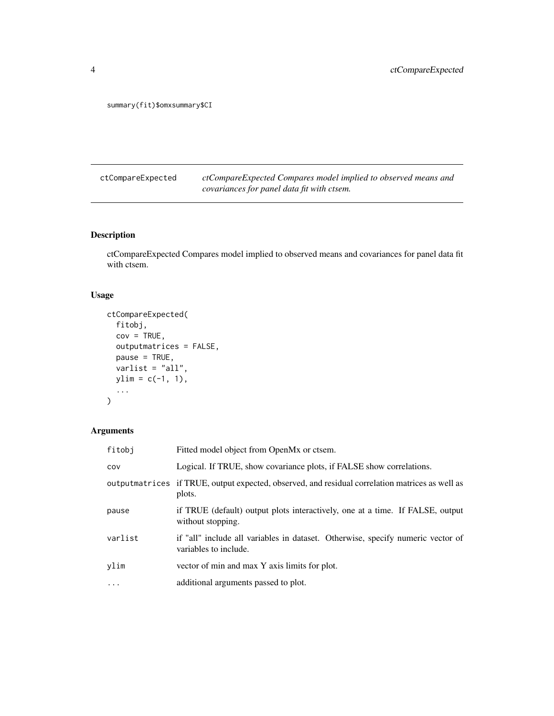<span id="page-3-0"></span>summary(fit)\$omxsummary\$CI

ctCompareExpected *ctCompareExpected Compares model implied to observed means and covariances for panel data fit with ctsem.*

# Description

ctCompareExpected Compares model implied to observed means and covariances for panel data fit with ctsem.

# Usage

```
ctCompareExpected(
 fitobj,
 cov = TRUE,outputmatrices = FALSE,
 pause = TRUE,
 varlist = "all",
 ylim = c(-1, 1),...
)
```

| fitobi  | Fitted model object from OpenMx or ctsem.                                                                 |
|---------|-----------------------------------------------------------------------------------------------------------|
| COV     | Logical. If TRUE, show covariance plots, if FALSE show correlations.                                      |
|         | outputmatrices if TRUE, output expected, observed, and residual correlation matrices as well as<br>plots. |
| pause   | if TRUE (default) output plots interactively, one at a time. If FALSE, output<br>without stopping.        |
| varlist | if "all" include all variables in dataset. Otherwise, specify numeric vector of<br>variables to include.  |
| ylim    | vector of min and max Y axis limits for plot.                                                             |
| .       | additional arguments passed to plot.                                                                      |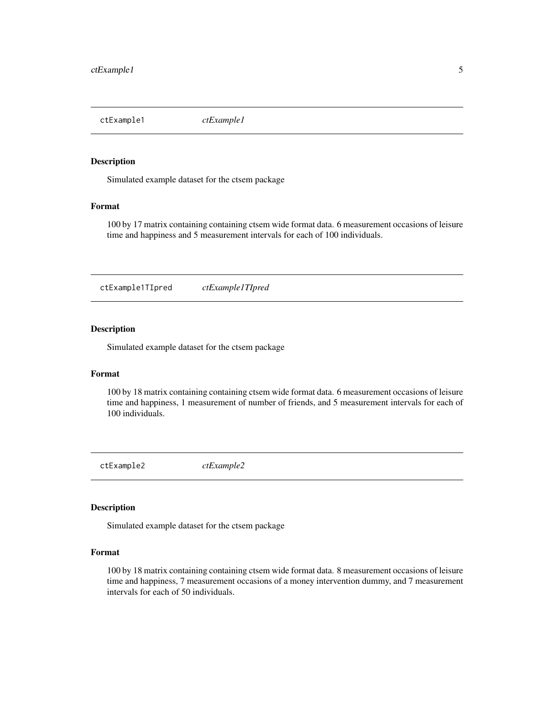<span id="page-4-0"></span>ctExample1 *ctExample1*

#### Description

Simulated example dataset for the ctsem package

#### Format

100 by 17 matrix containing containing ctsem wide format data. 6 measurement occasions of leisure time and happiness and 5 measurement intervals for each of 100 individuals.

ctExample1TIpred *ctExample1TIpred*

### Description

Simulated example dataset for the ctsem package

#### Format

100 by 18 matrix containing containing ctsem wide format data. 6 measurement occasions of leisure time and happiness, 1 measurement of number of friends, and 5 measurement intervals for each of 100 individuals.

ctExample2 *ctExample2*

#### Description

Simulated example dataset for the ctsem package

### Format

100 by 18 matrix containing containing ctsem wide format data. 8 measurement occasions of leisure time and happiness, 7 measurement occasions of a money intervention dummy, and 7 measurement intervals for each of 50 individuals.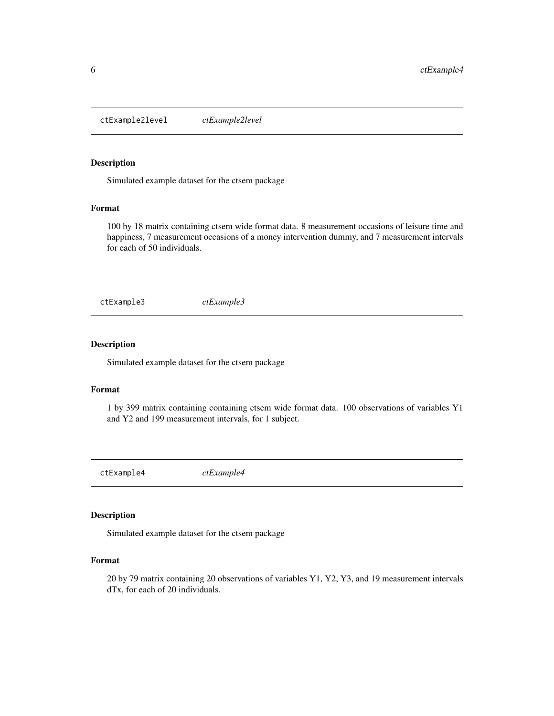<span id="page-5-0"></span>ctExample2level *ctExample2level*

#### Description

Simulated example dataset for the ctsem package

# Format

100 by 18 matrix containing ctsem wide format data. 8 measurement occasions of leisure time and happiness, 7 measurement occasions of a money intervention dummy, and 7 measurement intervals for each of 50 individuals.

ctExample3 *ctExample3*

# Description

Simulated example dataset for the ctsem package

#### Format

1 by 399 matrix containing containing ctsem wide format data. 100 observations of variables Y1 and Y2 and 199 measurement intervals, for 1 subject.

ctExample4 *ctExample4*

#### Description

Simulated example dataset for the ctsem package

#### Format

20 by 79 matrix containing 20 observations of variables Y1, Y2, Y3, and 19 measurement intervals dTx, for each of 20 individuals.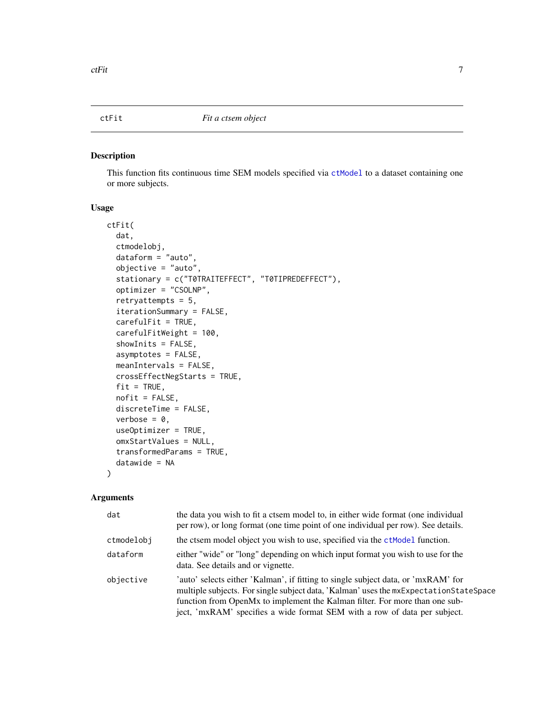#### <span id="page-6-1"></span><span id="page-6-0"></span>Description

This function fits continuous time SEM models specified via [ctModel](#page-0-0) to a dataset containing one or more subjects.

# Usage

```
ctFit(
  dat,
  ctmodelobj,
  dataform = "auto",
  objective = "auto",
  stationary = c("T0TRAITEFFECT", "T0TIPREDEFFECT"),
  optimizer = "CSOLNP",
  retryattempts = 5,
  iterationSummary = FALSE,
  carefulFit = TRUE,
  carefulFitWeight = 100,
  showInits = FALSE,
  asymptotes = FALSE,
  meanIntervals = FALSE,
  crossEffectNegStarts = TRUE,
  fit = TRUE,nofit = FALSE,discreteTime = FALSE,
  verbose = 0,
  useOptimizer = TRUE,
  omxStartValues = NULL,
  transformedParams = TRUE,
  datawide = NA
)
```

| dat        | the data you wish to fit a ctsem model to, in either wide format (one individual<br>per row), or long format (one time point of one individual per row). See details.                                                                                                                                                                      |
|------------|--------------------------------------------------------------------------------------------------------------------------------------------------------------------------------------------------------------------------------------------------------------------------------------------------------------------------------------------|
| ctmodelobi | the ctsem model object you wish to use, specified via the ctModel function.                                                                                                                                                                                                                                                                |
| dataform   | either "wide" or "long" depending on which input format you wish to use for the<br>data. See details and or vignette.                                                                                                                                                                                                                      |
| objective  | 'auto' selects either 'Kalman', if fitting to single subject data, or 'mxRAM' for<br>multiple subjects. For single subject data, 'Kalman' uses the $mxExpectedationStateSpace$<br>function from OpenMx to implement the Kalman filter. For more than one sub-<br>ject, 'mxRAM' specifies a wide format SEM with a row of data per subject. |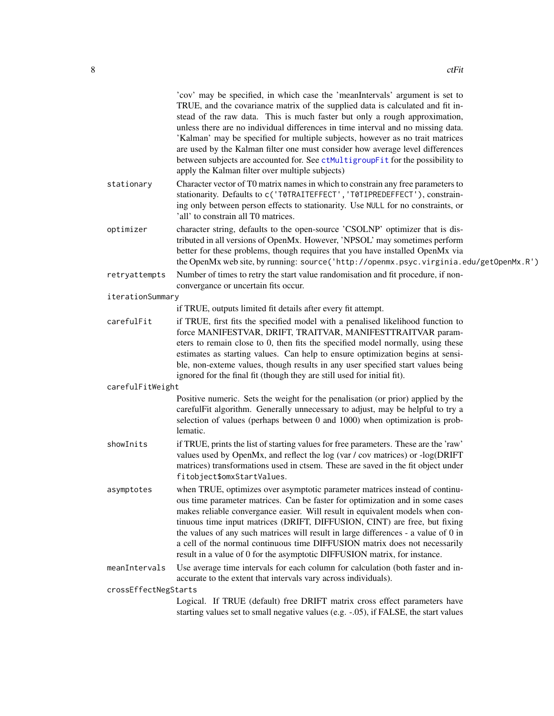<span id="page-7-0"></span>

|                      | 'cov' may be specified, in which case the 'meanIntervals' argument is set to<br>TRUE, and the covariance matrix of the supplied data is calculated and fit in-<br>stead of the raw data. This is much faster but only a rough approximation,<br>unless there are no individual differences in time interval and no missing data.<br>'Kalman' may be specified for multiple subjects, however as no trait matrices<br>are used by the Kalman filter one must consider how average level differences<br>between subjects are accounted for. See ctMultigroupFit for the possibility to |
|----------------------|--------------------------------------------------------------------------------------------------------------------------------------------------------------------------------------------------------------------------------------------------------------------------------------------------------------------------------------------------------------------------------------------------------------------------------------------------------------------------------------------------------------------------------------------------------------------------------------|
|                      | apply the Kalman filter over multiple subjects)                                                                                                                                                                                                                                                                                                                                                                                                                                                                                                                                      |
| stationary           | Character vector of T0 matrix names in which to constrain any free parameters to<br>stationarity. Defaults to c('T0TRAITEFFECT', 'T0TIPREDEFFECT'), constrain-<br>ing only between person effects to stationarity. Use NULL for no constraints, or<br>'all' to constrain all T0 matrices.                                                                                                                                                                                                                                                                                            |
| optimizer            | character string, defaults to the open-source 'CSOLNP' optimizer that is dis-<br>tributed in all versions of OpenMx. However, 'NPSOL' may sometimes perform<br>better for these problems, though requires that you have installed OpenMx via<br>the OpenMx web site, by running: source('http://openmx.psyc.virginia.edu/getOpenMx.R')                                                                                                                                                                                                                                               |
| retryattempts        | Number of times to retry the start value randomisation and fit procedure, if non-                                                                                                                                                                                                                                                                                                                                                                                                                                                                                                    |
| iterationSummary     | convergance or uncertain fits occur.                                                                                                                                                                                                                                                                                                                                                                                                                                                                                                                                                 |
|                      | if TRUE, outputs limited fit details after every fit attempt.                                                                                                                                                                                                                                                                                                                                                                                                                                                                                                                        |
| carefulFit           | if TRUE, first fits the specified model with a penalised likelihood function to<br>force MANIFESTVAR, DRIFT, TRAITVAR, MANIFESTTRAITVAR param-<br>eters to remain close to 0, then fits the specified model normally, using these<br>estimates as starting values. Can help to ensure optimization begins at sensi-<br>ble, non-exteme values, though results in any user specified start values being<br>ignored for the final fit (though they are still used for initial fit).                                                                                                    |
| carefulFitWeight     |                                                                                                                                                                                                                                                                                                                                                                                                                                                                                                                                                                                      |
|                      | Positive numeric. Sets the weight for the penalisation (or prior) applied by the<br>carefulFit algorithm. Generally unnecessary to adjust, may be helpful to try a<br>selection of values (perhaps between 0 and 1000) when optimization is prob-<br>lematic.                                                                                                                                                                                                                                                                                                                        |
| showInits            | if TRUE, prints the list of starting values for free parameters. These are the 'raw'<br>values used by OpenMx, and reflect the log (var / cov matrices) or -log(DRIFT<br>matrices) transformations used in ctsem. These are saved in the fit object under<br>fitobject\$omxStartValues.                                                                                                                                                                                                                                                                                              |
| asymptotes           | when TRUE, optimizes over asymptotic parameter matrices instead of continu-<br>ous time parameter matrices. Can be faster for optimization and in some cases<br>makes reliable convergance easier. Will result in equivalent models when con-<br>tinuous time input matrices (DRIFT, DIFFUSION, CINT) are free, but fixing<br>the values of any such matrices will result in large differences - a value of 0 in<br>a cell of the normal continuous time DIFFUSION matrix does not necessarily<br>result in a value of 0 for the asymptotic DIFFUSION matrix, for instance.          |
| meanIntervals        | Use average time intervals for each column for calculation (both faster and in-<br>accurate to the extent that intervals vary across individuals).                                                                                                                                                                                                                                                                                                                                                                                                                                   |
| crossEffectNegStarts |                                                                                                                                                                                                                                                                                                                                                                                                                                                                                                                                                                                      |
|                      | Logical. If TRUE (default) free DRIFT matrix cross effect parameters have<br>starting values set to small negative values (e.g. -. 05), if FALSE, the start values                                                                                                                                                                                                                                                                                                                                                                                                                   |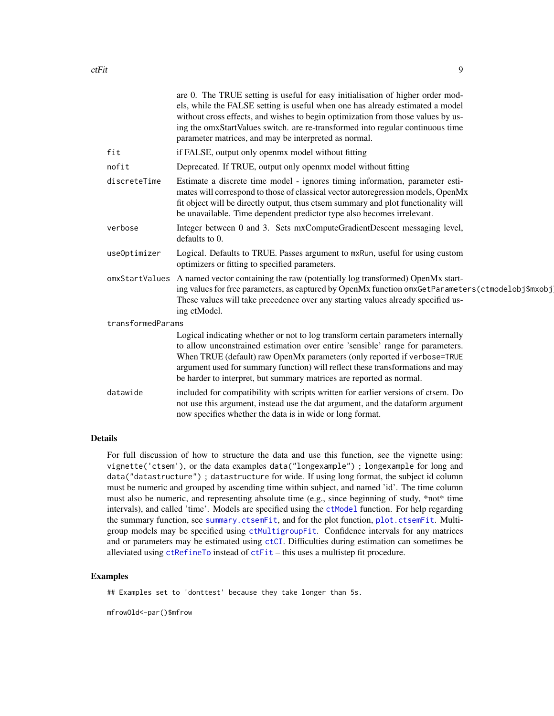<span id="page-8-0"></span>

|                   | are 0. The TRUE setting is useful for easy initialisation of higher order mod-<br>els, while the FALSE setting is useful when one has already estimated a model<br>without cross effects, and wishes to begin optimization from those values by us-<br>ing the omxStartValues switch. are re-transformed into regular continuous time<br>parameter matrices, and may be interpreted as normal.           |
|-------------------|----------------------------------------------------------------------------------------------------------------------------------------------------------------------------------------------------------------------------------------------------------------------------------------------------------------------------------------------------------------------------------------------------------|
| fit               | if FALSE, output only openmx model without fitting                                                                                                                                                                                                                                                                                                                                                       |
| nofit             | Deprecated. If TRUE, output only openmx model without fitting                                                                                                                                                                                                                                                                                                                                            |
| discreteTime      | Estimate a discrete time model - ignores timing information, parameter esti-<br>mates will correspond to those of classical vector autoregression models, OpenMx<br>fit object will be directly output, thus ctsem summary and plot functionality will<br>be unavailable. Time dependent predictor type also becomes irrelevant.                                                                         |
| verbose           | Integer between 0 and 3. Sets mxComputeGradientDescent messaging level,<br>defaults to 0.                                                                                                                                                                                                                                                                                                                |
| useOptimizer      | Logical. Defaults to TRUE. Passes argument to mxRun, useful for using custom<br>optimizers or fitting to specified parameters.                                                                                                                                                                                                                                                                           |
|                   | omxStartValues A named vector containing the raw (potentially log transformed) OpenMx start-<br>ing values for free parameters, as captured by OpenMx function omxGetParameters(ctmodelobj\$mxobj<br>These values will take precedence over any starting values already specified us-<br>ing ctModel.                                                                                                    |
| transformedParams |                                                                                                                                                                                                                                                                                                                                                                                                          |
|                   | Logical indicating whether or not to log transform certain parameters internally<br>to allow unconstrained estimation over entire 'sensible' range for parameters.<br>When TRUE (default) raw OpenMx parameters (only reported if verbose=TRUE<br>argument used for summary function) will reflect these transformations and may<br>be harder to interpret, but summary matrices are reported as normal. |
| datawide          | included for compatibility with scripts written for earlier versions of ctsem. Do<br>not use this argument, instead use the dat argument, and the dataform argument<br>now specifies whether the data is in wide or long format.                                                                                                                                                                         |

# Details

For full discussion of how to structure the data and use this function, see the vignette using: vignette('ctsem'), or the data examples data("longexample") ; longexample for long and data("datastructure") ; datastructure for wide. If using long format, the subject id column must be numeric and grouped by ascending time within subject, and named 'id'. The time column must also be numeric, and representing absolute time (e.g., since beginning of study,  $*not*$  time intervals), and called 'time'. Models are specified using the [ctModel](#page-0-0) function. For help regarding the summary function, see [summary.ctsemFit](#page-22-1), and for the plot function, [plot.ctsemFit](#page-20-1). Multigroup models may be specified using [ctMultigroupFit](#page-13-1). Confidence intervals for any matrices and or parameters may be estimated using [ctCI](#page-2-1). Difficulties during estimation can sometimes be alleviated using [ctRefineTo](#page-17-1) instead of [ctFit](#page-6-1) – this uses a multistep fit procedure.

#### Examples

## Examples set to 'donttest' because they take longer than 5s.

mfrowOld<-par()\$mfrow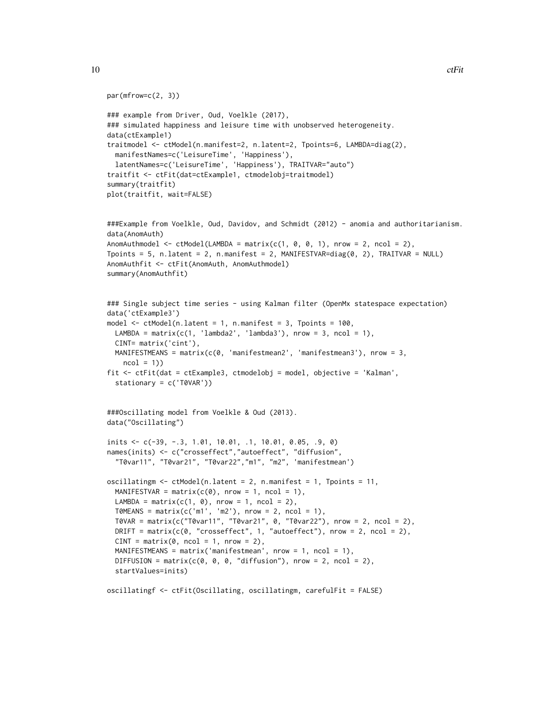```
par(mfrow=c(2, 3))
### example from Driver, Oud, Voelkle (2017),
### simulated happiness and leisure time with unobserved heterogeneity.
data(ctExample1)
traitmodel <- ctModel(n.manifest=2, n.latent=2, Tpoints=6, LAMBDA=diag(2),
 manifestNames=c('LeisureTime', 'Happiness'),
 latentNames=c('LeisureTime', 'Happiness'), TRAITVAR="auto")
traitfit <- ctFit(dat=ctExample1, ctmodelobj=traitmodel)
summary(traitfit)
plot(traitfit, wait=FALSE)
###Example from Voelkle, Oud, Davidov, and Schmidt (2012) - anomia and authoritarianism.
data(AnomAuth)
AnomAuthmodel \leq ctModel(LAMBDA = matrix(c(1, 0, 0, 1), nrow = 2, ncol = 2),
Tpoints = 5, n.latent = 2, n.manifest = 2, MANIFESTVAR=diag(0, 2), TRAITVAR = NULL)
AnomAuthfit <- ctFit(AnomAuth, AnomAuthmodel)
summary(AnomAuthfit)
### Single subject time series - using Kalman filter (OpenMx statespace expectation)
data('ctExample3')
model <- ctModel(n.latent = 1, n.manifest = 3, Tpoints = 100,
 LAMBDA = matrix(c(1, 'lambda2', 'lambda3'), nrow = 3, ncol = 1),
 CINT= matrix('cint'),
 MANIFESTMEANS = matrix(c(0, 'manifestmean2', 'manifestmean3'), nrow = 3,
   ncol = 1)fit <- ctFit(dat = ctExample3, ctmodelobj = model, objective = 'Kalman',
 stationary = c('T0VAR'))
###Oscillating model from Voelkle & Oud (2013).
data("Oscillating")
inits <- c(-39, -.3, 1.01, 10.01, .1, 10.01, 0.05, .9, 0)
names(inits) <- c("crosseffect","autoeffect", "diffusion",
  "T0var11", "T0var21", "T0var22","m1", "m2", 'manifestmean')
oscillatingm \leq ctModel(n.latent = 2, n.manifest = 1, Tpoints = 11,
 MANIFESTVAR = matrix(c(0), nrow = 1, ncol = 1),
 LAMBDA = matrix(c(1, 0), nrow = 1, ncol = 2),
 T0MEANS = matrix(c('m1', 'm2'), nrow = 2, ncol = 1),
 T0VAR = matrix(c("T0var11", "T0var21", 0, "T0var22"), nrow = 2, ncol = 2),
 DRIFT = matrix(c(0, "crosseffect", 1, "autoeffect"), nrow = 2, ncol = 2),CINT = matrix(0, \text{ ncol} = 1, \text{ nrow} = 2),
 MANIFESTMEANS = matrix('manifestmean', nrow = 1, ncol = 1),
 DIFFUSION = matrix(c(0, 0, 0, "diffusion"), nrow = 2, ncol = 2),
 startValues=inits)
oscillatingf <- ctFit(Oscillating, oscillatingm, carefulFit = FALSE)
```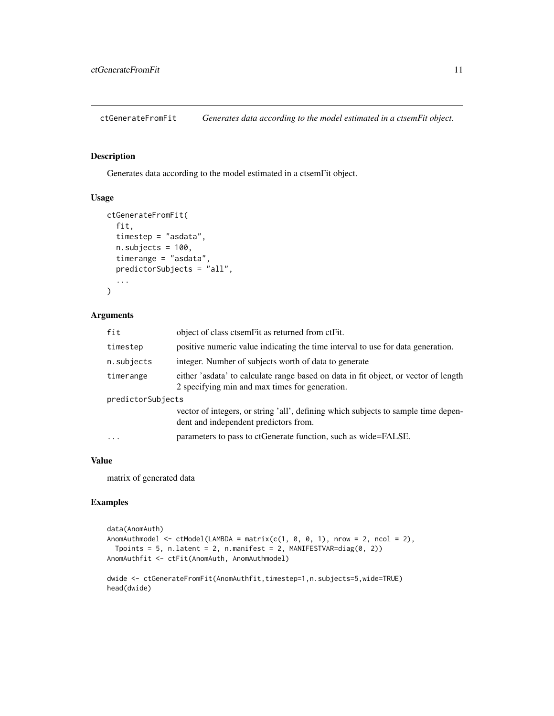<span id="page-10-0"></span>ctGenerateFromFit *Generates data according to the model estimated in a ctsemFit object.*

# Description

Generates data according to the model estimated in a ctsemFit object.

#### Usage

```
ctGenerateFromFit(
  fit,
  timestep = "asdata",
  n.subjects = 100,timerange = "asdata",
  predictorSubjects = "all",
  ...
)
```
# Arguments

| fit               | object of class ctsem Fit as returned from ct Fit.                                                                                    |
|-------------------|---------------------------------------------------------------------------------------------------------------------------------------|
| timestep          | positive numeric value indicating the time interval to use for data generation.                                                       |
| n.subjects        | integer. Number of subjects worth of data to generate                                                                                 |
| timerange         | either 'asdata' to calculate range based on data in fit object, or vector of length<br>2 specifying min and max times for generation. |
| predictorSubjects |                                                                                                                                       |
|                   | vector of integers, or string 'all', defining which subjects to sample time depen-<br>dent and independent predictors from.           |
| $\ddots$ .        | parameters to pass to ctGenerate function, such as wide=FALSE.                                                                        |

### Value

matrix of generated data

# Examples

```
data(AnomAuth)
AnomAuthmodel \leq ctModel(LAMBDA = matrix(c(1, 0, 0, 1), nrow = 2, ncol = 2),
  Tpoints = 5, n.latent = 2, n.manifest = 2, MANIFESTVAR=diag(0, 2))
AnomAuthfit <- ctFit(AnomAuth, AnomAuthmodel)
dwide <- ctGenerateFromFit(AnomAuthfit,timestep=1,n.subjects=5,wide=TRUE)
```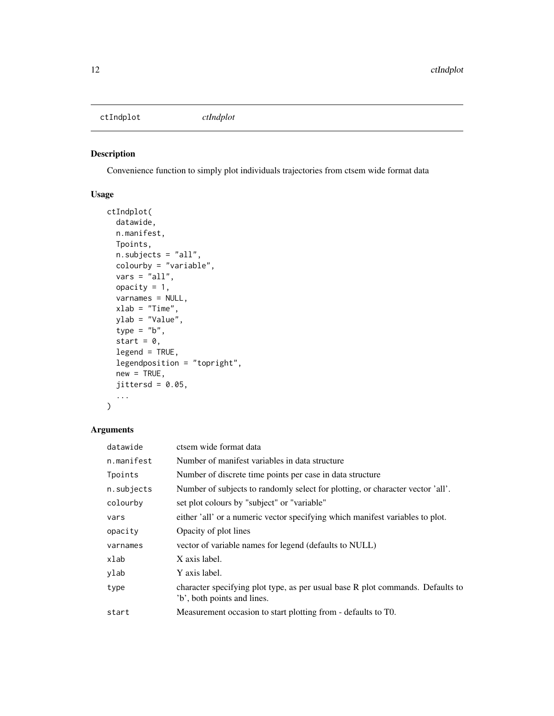<span id="page-11-0"></span>ctIndplot *ctIndplot*

# Description

Convenience function to simply plot individuals trajectories from ctsem wide format data

# Usage

```
ctIndplot(
 datawide,
 n.manifest,
 Tpoints,
 n.subjects = "all",
 colourby = "variable",
 vars = "all",opacity = 1,varnames = NULL,
 xlab = "Time",
 ylab = "Value",
  type = "b",
  start = 0,
  legend = TRUE,
  legendposition = "topright",
 new = TRUE,jittersd = 0.05,...
)
```

| datawide   | ctsem wide format data                                                                                        |
|------------|---------------------------------------------------------------------------------------------------------------|
| n.manifest | Number of manifest variables in data structure                                                                |
| Tpoints    | Number of discrete time points per case in data structure                                                     |
| n.subjects | Number of subjects to randomly select for plotting, or character vector 'all'.                                |
| colourby   | set plot colours by "subject" or "variable"                                                                   |
| vars       | either 'all' or a numeric vector specifying which manifest variables to plot.                                 |
| opacity    | Opacity of plot lines                                                                                         |
| varnames   | vector of variable names for legend (defaults to NULL)                                                        |
| xlab       | X axis label.                                                                                                 |
| ylab       | Y axis label.                                                                                                 |
| type       | character specifying plot type, as per usual base R plot commands. Defaults to<br>'b', both points and lines. |
| start      | Measurement occasion to start plotting from - defaults to TO.                                                 |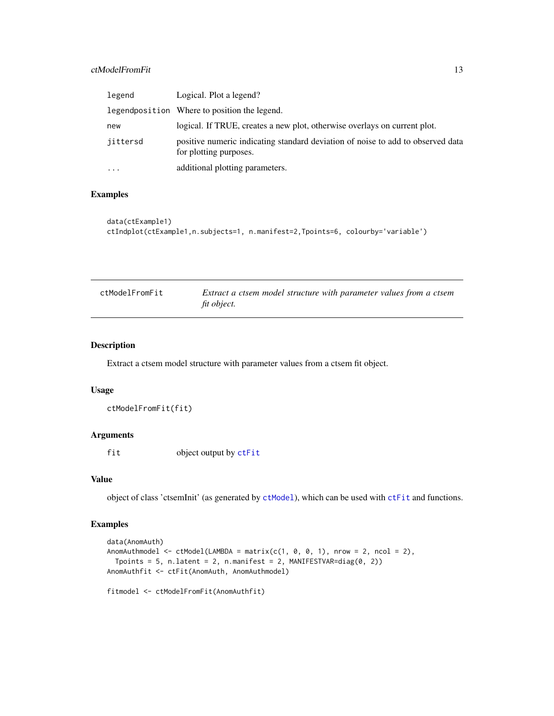# <span id="page-12-0"></span>ctModelFromFit 13

| legend    | Logical. Plot a legend?                                                                                   |
|-----------|-----------------------------------------------------------------------------------------------------------|
|           | legendposition Where to position the legend.                                                              |
| new       | logical. If TRUE, creates a new plot, otherwise overlays on current plot.                                 |
| jittersd  | positive numeric indicating standard deviation of noise to add to observed data<br>for plotting purposes. |
| $\ddotsc$ | additional plotting parameters.                                                                           |

# Examples

```
data(ctExample1)
ctIndplot(ctExample1,n.subjects=1, n.manifest=2,Tpoints=6, colourby='variable')
```

| ctModelFromFit | Extract a ctsem model structure with parameter values from a ctsem |
|----------------|--------------------------------------------------------------------|
|                | fit object.                                                        |

#### Description

Extract a ctsem model structure with parameter values from a ctsem fit object.

#### Usage

```
ctModelFromFit(fit)
```
# Arguments

fit object output by [ctFit](#page-6-1)

#### Value

object of class 'ctsemInit' (as generated by [ctModel](#page-0-0)), which can be used with [ctFit](#page-6-1) and functions.

# Examples

```
data(AnomAuth)
AnomAuthmodel <- ctModel(LAMBDA = matrix(c(1, 0, 0, 1), nrow = 2, ncol = 2),
 Tpoints = 5, n.latent = 2, n.manifest = 2, MANIFESTVAR=diag(0, 2))
AnomAuthfit <- ctFit(AnomAuth, AnomAuthmodel)
```
fitmodel <- ctModelFromFit(AnomAuthfit)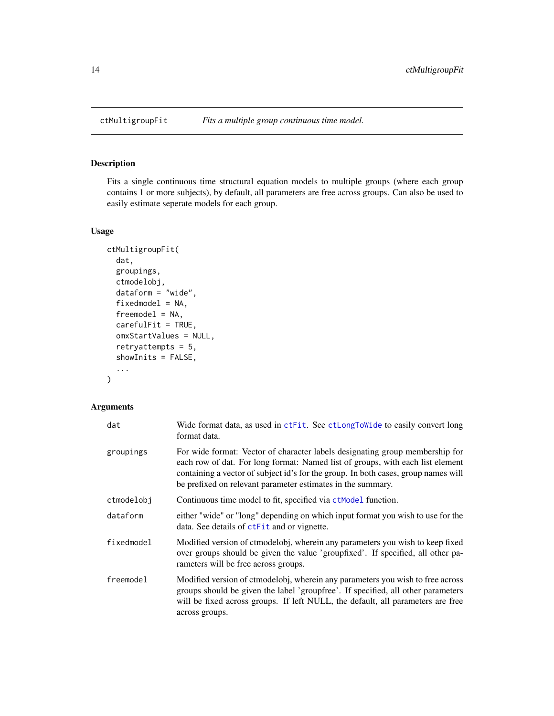<span id="page-13-1"></span><span id="page-13-0"></span>

# Description

Fits a single continuous time structural equation models to multiple groups (where each group contains 1 or more subjects), by default, all parameters are free across groups. Can also be used to easily estimate seperate models for each group.

#### Usage

```
ctMultigroupFit(
  dat,
  groupings,
  ctmodelobj,
  dataform = "wide",
  fixedmodel = NA,
  freemodel = NA,
  carefulFit = TRUE,
  omxStartValues = NULL,
  retryattempts = 5,
  showInits = FALSE,
  ...
\overline{\phantom{0}}
```

| dat        | Wide format data, as used in ctFit. See ctLongToWide to easily convert long<br>format data.                                                                                                                                                                                                                         |
|------------|---------------------------------------------------------------------------------------------------------------------------------------------------------------------------------------------------------------------------------------------------------------------------------------------------------------------|
| groupings  | For wide format: Vector of character labels designating group membership for<br>each row of dat. For long format: Named list of groups, with each list element<br>containing a vector of subject id's for the group. In both cases, group names will<br>be prefixed on relevant parameter estimates in the summary. |
| ctmodelobj | Continuous time model to fit, specified via ctModel function.                                                                                                                                                                                                                                                       |
| dataform   | either "wide" or "long" depending on which input format you wish to use for the<br>data. See details of ctFit and or vignette.                                                                                                                                                                                      |
| fixedmodel | Modified version of ctmodelobj, wherein any parameters you wish to keep fixed<br>over groups should be given the value 'groupfixed'. If specified, all other pa-<br>rameters will be free across groups.                                                                                                            |
| freemodel  | Modified version of ctmodelobj, wherein any parameters you wish to free across<br>groups should be given the label 'groupfree'. If specified, all other parameters<br>will be fixed across groups. If left NULL, the default, all parameters are free<br>across groups.                                             |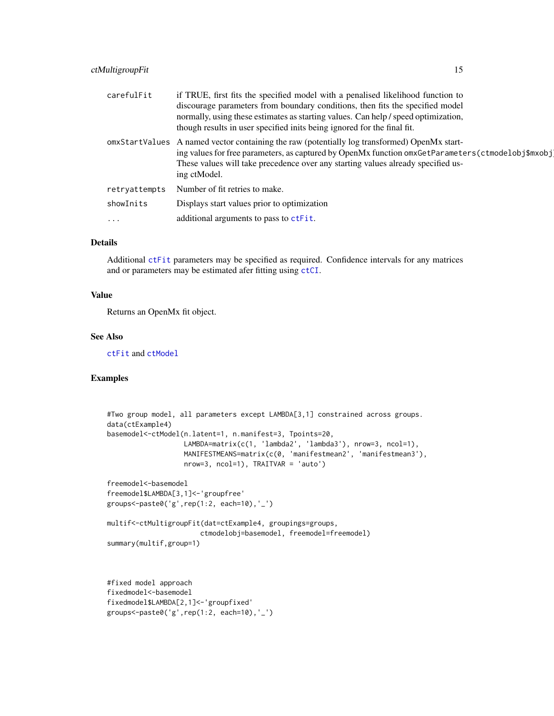# <span id="page-14-0"></span>ctMultigroupFit 15

| carefulFit    | if TRUE, first fits the specified model with a penalised likelihood function to<br>discourage parameters from boundary conditions, then fits the specified model<br>normally, using these estimates as starting values. Can help / speed optimization,<br>though results in user specified inits being ignored for the final fit. |
|---------------|-----------------------------------------------------------------------------------------------------------------------------------------------------------------------------------------------------------------------------------------------------------------------------------------------------------------------------------|
|               | omxStartValues A named vector containing the raw (potentially log transformed) OpenMx start-<br>ing values for free parameters, as captured by OpenMx function omxGetParameters(ctmodelobj\$mxobj<br>These values will take precedence over any starting values already specified us-<br>ing ctModel.                             |
| retryattempts | Number of fit retries to make.                                                                                                                                                                                                                                                                                                    |
| showInits     | Displays start values prior to optimization                                                                                                                                                                                                                                                                                       |
| $\cdots$      | additional arguments to pass to ctFit.                                                                                                                                                                                                                                                                                            |

#### Details

Additional [ctFit](#page-6-1) parameters may be specified as required. Confidence intervals for any matrices and or parameters may be estimated afer fitting using [ctCI](#page-2-1).

# Value

Returns an OpenMx fit object.

#### See Also

[ctFit](#page-6-1) and [ctModel](#page-0-0)

# Examples

```
#Two group model, all parameters except LAMBDA[3,1] constrained across groups.
data(ctExample4)
basemodel<-ctModel(n.latent=1, n.manifest=3, Tpoints=20,
                   LAMBDA=matrix(c(1, 'lambda2', 'lambda3'), nrow=3, ncol=1),
                   MANIFESTMEANS=matrix(c(0, 'manifestmean2', 'manifestmean3'),
                   nrow=3, ncol=1), TRAITVAR = 'auto')
freemodel<-basemodel
freemodel$LAMBDA[3,1]<-'groupfree'
groups < -paste0('g', rep(1:2, each=10), '-'')multif<-ctMultigroupFit(dat=ctExample4, groupings=groups,
                       ctmodelobj=basemodel, freemodel=freemodel)
summary(multif,group=1)
#fixed model approach
```

```
fixedmodel<-basemodel
fixedmodel$LAMBDA[2,1]<-'groupfixed'
groups<-paste0('g',rep(1:2, each=10),'_')
```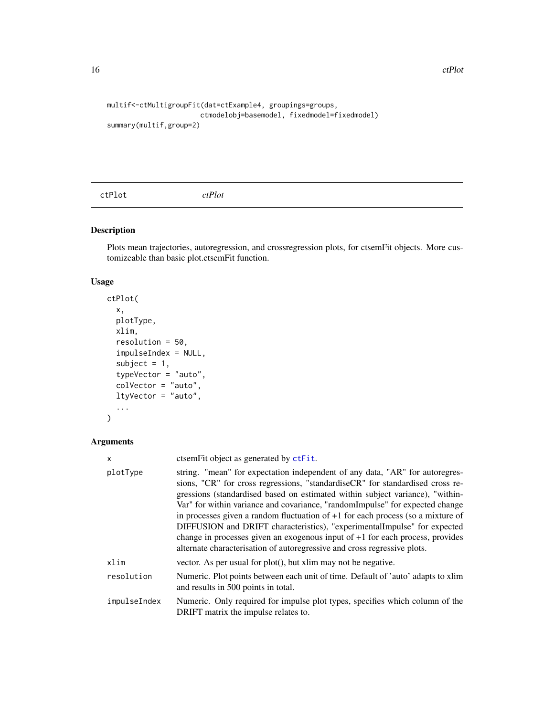```
multif<-ctMultigroupFit(dat=ctExample4, groupings=groups,
                       ctmodelobj=basemodel, fixedmodel=fixedmodel)
summary(multif,group=2)
```
<span id="page-15-1"></span>ctPlot *ctPlot*

# Description

Plots mean trajectories, autoregression, and crossregression plots, for ctsemFit objects. More customizeable than basic plot.ctsemFit function.

#### Usage

```
ctPlot(
  x,
  plotType,
  xlim,
  resolution = 50,
  impulseIndex = NULL,
  subject = 1,
  typeVector = "auto",
  colVector = "auto",
  ltyVector = "auto",
  ...
\mathcal{L}
```

| x            | ctsem Fit object as generated by ctFit.                                                                                                                                                                                                                                                                                                                                                                                                                                                                                                                                                                                                                        |
|--------------|----------------------------------------------------------------------------------------------------------------------------------------------------------------------------------------------------------------------------------------------------------------------------------------------------------------------------------------------------------------------------------------------------------------------------------------------------------------------------------------------------------------------------------------------------------------------------------------------------------------------------------------------------------------|
| plotType     | string. "mean" for expectation independent of any data, "AR" for autoregres-<br>sions, "CR" for cross regressions, "standardiseCR" for standardised cross re-<br>gressions (standardised based on estimated within subject variance), "within-<br>Var" for within variance and covariance, "randomImpulse" for expected change<br>in processes given a random fluctuation of $+1$ for each process (so a mixture of<br>DIFFUSION and DRIFT characteristics), "experimentalImpulse" for expected<br>change in processes given an exogenous input of $+1$ for each process, provides<br>alternate characterisation of autoregressive and cross regressive plots. |
| xlim         | vector. As per usual for plot(), but xlim may not be negative.                                                                                                                                                                                                                                                                                                                                                                                                                                                                                                                                                                                                 |
| resolution   | Numeric. Plot points between each unit of time. Default of 'auto' adapts to xlim<br>and results in 500 points in total.                                                                                                                                                                                                                                                                                                                                                                                                                                                                                                                                        |
| impulseIndex | Numeric. Only required for impulse plot types, specifies which column of the<br>DRIFT matrix the impulse relates to.                                                                                                                                                                                                                                                                                                                                                                                                                                                                                                                                           |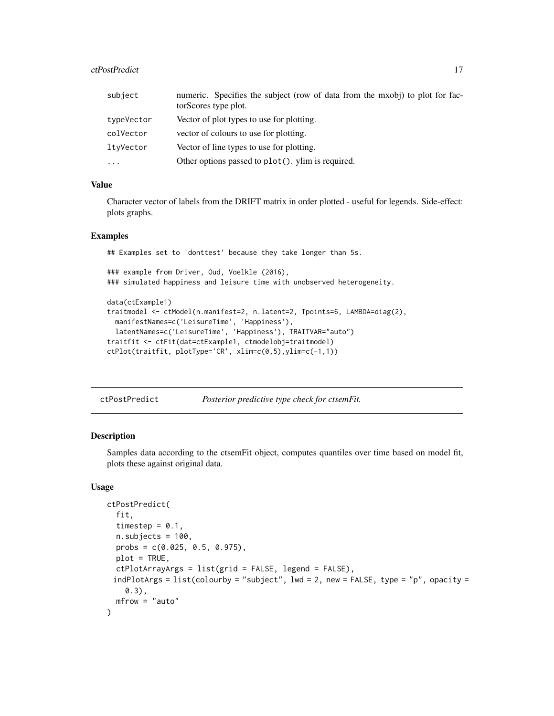#### <span id="page-16-0"></span>ctPostPredict 27

| subject    | numeric. Specifies the subject (row of data from the mxobj) to plot for fac-<br>torScores type plot. |
|------------|------------------------------------------------------------------------------------------------------|
|            |                                                                                                      |
| typeVector | Vector of plot types to use for plotting.                                                            |
| colVector  | vector of colours to use for plotting.                                                               |
| ltyVector  | Vector of line types to use for plotting.                                                            |
| $\cdots$   | Other options passed to plot(). ylim is required.                                                    |

# Value

Character vector of labels from the DRIFT matrix in order plotted - useful for legends. Side-effect: plots graphs.

#### Examples

## Examples set to 'donttest' because they take longer than 5s. ### example from Driver, Oud, Voelkle (2016), ### simulated happiness and leisure time with unobserved heterogeneity. data(ctExample1) traitmodel <- ctModel(n.manifest=2, n.latent=2, Tpoints=6, LAMBDA=diag(2), manifestNames=c('LeisureTime', 'Happiness'), latentNames=c('LeisureTime', 'Happiness'), TRAITVAR="auto") traitfit <- ctFit(dat=ctExample1, ctmodelobj=traitmodel) ctPlot(traitfit, plotType='CR', xlim=c(0,5),ylim=c(-1,1))

ctPostPredict *Posterior predictive type check for ctsemFit.*

#### Description

Samples data according to the ctsemFit object, computes quantiles over time based on model fit, plots these against original data.

#### Usage

```
ctPostPredict(
  fit,
  timestep = 0.1,
  n.subjects = 100,probs = c(0.025, 0.5, 0.975),
 plot = TRUE,
  ctPlotArrayArgs = list(grid = FALSE, legend = FALSE),
 indPlotArgs = list(colourby = "subject", lwd = 2, new = FALSE, type = "p", opacity =
    0.3),
  mfrow = "auto"
)
```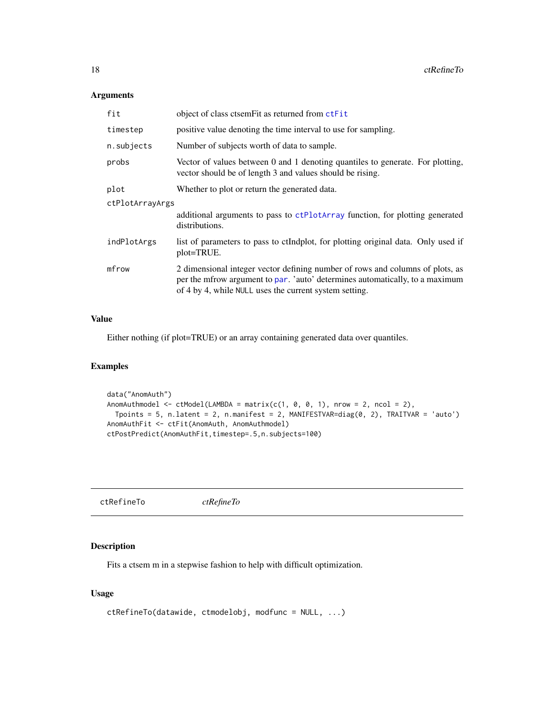# <span id="page-17-0"></span>Arguments

| fit             | object of class ctsemFit as returned from ctFit                                                                                                                                                                         |
|-----------------|-------------------------------------------------------------------------------------------------------------------------------------------------------------------------------------------------------------------------|
| timestep        | positive value denoting the time interval to use for sampling.                                                                                                                                                          |
| n.subjects      | Number of subjects worth of data to sample.                                                                                                                                                                             |
| probs           | Vector of values between 0 and 1 denoting quantiles to generate. For plotting,<br>vector should be of length 3 and values should be rising.                                                                             |
| plot            | Whether to plot or return the generated data.                                                                                                                                                                           |
| ctPlotArrayArgs |                                                                                                                                                                                                                         |
|                 | additional arguments to pass to ctPlotArray function, for plotting generated<br>distributions.                                                                                                                          |
| indPlotArgs     | list of parameters to pass to ctIndplot, for plotting original data. Only used if<br>plot=TRUE.                                                                                                                         |
| mfrow           | 2 dimensional integer vector defining number of rows and columns of plots, as<br>per the mfrow argument to par. 'auto' determines automatically, to a maximum<br>of 4 by 4, while NULL uses the current system setting. |

# Value

Either nothing (if plot=TRUE) or an array containing generated data over quantiles.

# Examples

```
data("AnomAuth")
AnomAuthmodel \leq ctModel(LAMBDA = matrix(c(1, 0, 0, 1), nrow = 2, ncol = 2),
  Tpoints = 5, n.latent = 2, n.manifest = 2, MANIFESTVAR=diag(0, 2), TRAITVAR = 'auto')
AnomAuthFit <- ctFit(AnomAuth, AnomAuthmodel)
ctPostPredict(AnomAuthFit,timestep=.5,n.subjects=100)
```
<span id="page-17-1"></span>ctRefineTo *ctRefineTo*

# Description

Fits a ctsem m in a stepwise fashion to help with difficult optimization.

# Usage

```
ctRefineTo(datawide, ctmodelobj, modfunc = NULL, ...)
```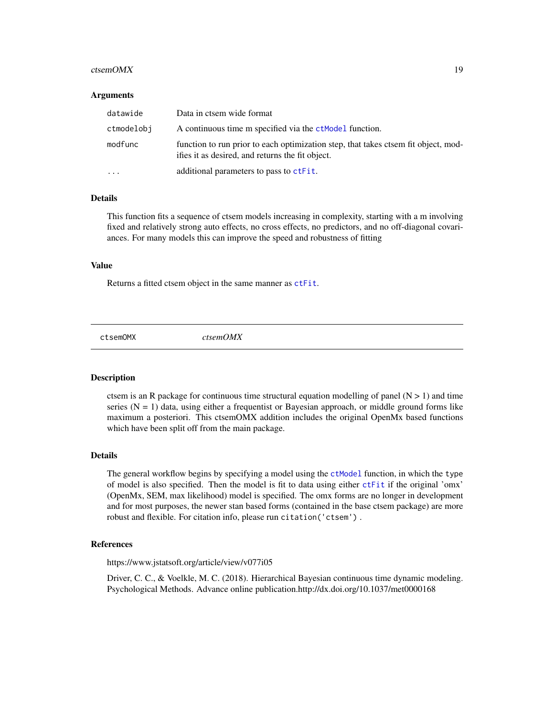#### <span id="page-18-0"></span> $ctsemOMX$  19

#### Arguments

| datawide   | Data in ctsem wide format                                                                                                              |
|------------|----------------------------------------------------------------------------------------------------------------------------------------|
| ctmodelobi | A continuous time m specified via the <b>ctModel</b> function.                                                                         |
| modfunc    | function to run prior to each optimization step, that takes ctsem fit object, mod-<br>ifies it as desired, and returns the fit object. |
| $\ddotsc$  | additional parameters to pass to ctFit.                                                                                                |

# Details

This function fits a sequence of ctsem models increasing in complexity, starting with a m involving fixed and relatively strong auto effects, no cross effects, no predictors, and no off-diagonal covariances. For many models this can improve the speed and robustness of fitting

#### Value

Returns a fitted ctsem object in the same manner as [ctFit](#page-6-1).

ctsemOMX *ctsemOMX*

# Description

ctsem is an R package for continuous time structural equation modelling of panel  $(N > 1)$  and time series ( $N = 1$ ) data, using either a frequentist or Bayesian approach, or middle ground forms like maximum a posteriori. This ctsemOMX addition includes the original OpenMx based functions which have been split off from the main package.

#### Details

The general workflow begins by specifying a model using the [ctModel](#page-0-0) function, in which the type of model is also specified. Then the model is fit to data using either [ctFit](#page-6-1) if the original 'omx' (OpenMx, SEM, max likelihood) model is specified. The omx forms are no longer in development and for most purposes, the newer stan based forms (contained in the base ctsem package) are more robust and flexible. For citation info, please run citation('ctsem') .

#### References

https://www.jstatsoft.org/article/view/v077i05

Driver, C. C., & Voelkle, M. C. (2018). Hierarchical Bayesian continuous time dynamic modeling. Psychological Methods. Advance online publication.http://dx.doi.org/10.1037/met0000168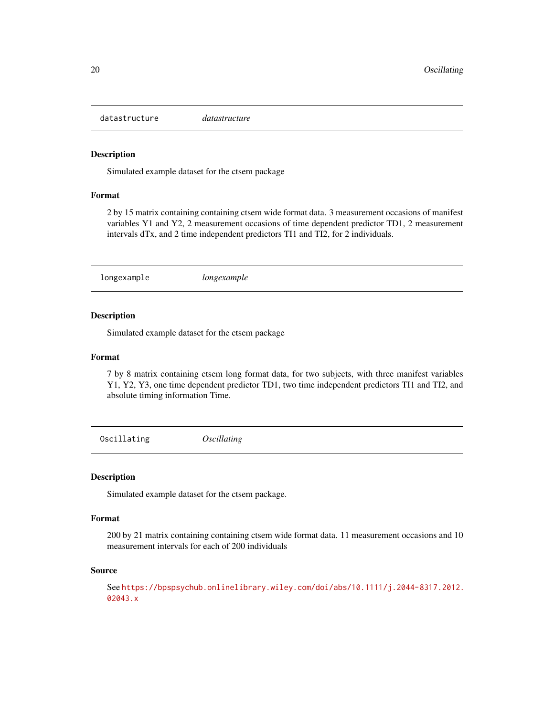<span id="page-19-0"></span>datastructure *datastructure*

#### Description

Simulated example dataset for the ctsem package

#### Format

2 by 15 matrix containing containing ctsem wide format data. 3 measurement occasions of manifest variables Y1 and Y2, 2 measurement occasions of time dependent predictor TD1, 2 measurement intervals dTx, and 2 time independent predictors TI1 and TI2, for 2 individuals.

longexample *longexample*

# Description

Simulated example dataset for the ctsem package

#### Format

7 by 8 matrix containing ctsem long format data, for two subjects, with three manifest variables Y1, Y2, Y3, one time dependent predictor TD1, two time independent predictors TI1 and TI2, and absolute timing information Time.

Oscillating *Oscillating*

#### Description

Simulated example dataset for the ctsem package.

### Format

200 by 21 matrix containing containing ctsem wide format data. 11 measurement occasions and 10 measurement intervals for each of 200 individuals

#### Source

See [https://bpspsychub.onlinelibrary.wiley.com/doi/abs/10.1111/j.2044-8317.2012.](https://bpspsychub.onlinelibrary.wiley.com/doi/abs/10.1111/j.2044-8317.2012.02043.x) [02043.x](https://bpspsychub.onlinelibrary.wiley.com/doi/abs/10.1111/j.2044-8317.2012.02043.x)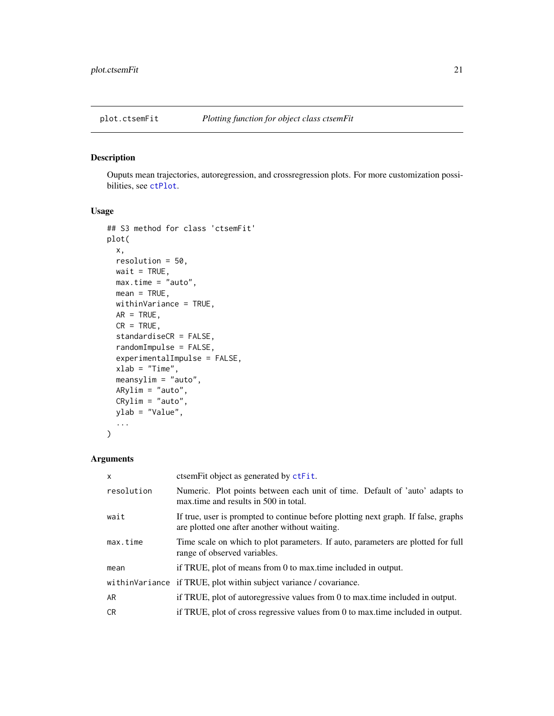<span id="page-20-1"></span><span id="page-20-0"></span>

# Description

Ouputs mean trajectories, autoregression, and crossregression plots. For more customization possibilities, see [ctPlot](#page-15-1).

#### Usage

```
## S3 method for class 'ctsemFit'
plot(
  x,
 resolution = 50,
 wait = TRUE,
 max.time = "auto",
 mean = TRUE,withinVariance = TRUE,
 AR = TRUE,CR = TRUE,standardiseCR = FALSE,
  randomImpulse = FALSE,
  experimentalImpulse = FALSE,
  xlab = "Time",meansylim = "auto",
 ARylim = "auto",
 CRylim = "auto",
 ylab = "Value",
  ...
\mathcal{L}
```

| $\mathsf{x}$ | ctsem Fit object as generated by ctFit.                                                                                              |
|--------------|--------------------------------------------------------------------------------------------------------------------------------------|
| resolution   | Numeric. Plot points between each unit of time. Default of 'auto' adapts to<br>max time and results in 500 in total.                 |
| wait         | If true, user is prompted to continue before plotting next graph. If false, graphs<br>are plotted one after another without waiting. |
| max.time     | Time scale on which to plot parameters. If auto, parameters are plotted for full<br>range of observed variables.                     |
| mean         | if TRUE, plot of means from 0 to max time included in output.                                                                        |
|              | withinVariance if TRUE, plot within subject variance / covariance.                                                                   |
| AR           | if TRUE, plot of autoregressive values from 0 to max time included in output.                                                        |
| CR.          | if TRUE, plot of cross regressive values from 0 to max time included in output.                                                      |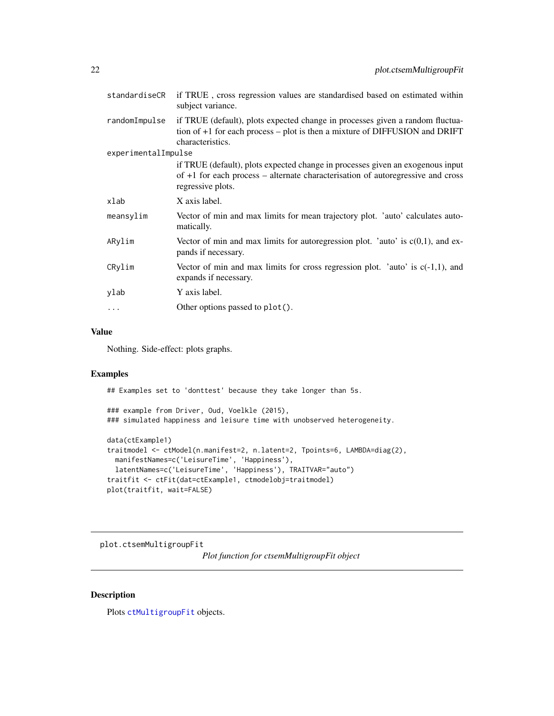<span id="page-21-0"></span>

| standardiseCR       | if TRUE, cross regression values are standardised based on estimated within<br>subject variance.                                                                                         |
|---------------------|------------------------------------------------------------------------------------------------------------------------------------------------------------------------------------------|
| randomImpulse       | if TRUE (default), plots expected change in processes given a random fluctua-<br>tion of $+1$ for each process – plot is then a mixture of DIFFUSION and DRIFT<br>characteristics.       |
| experimentalImpulse |                                                                                                                                                                                          |
|                     | if TRUE (default), plots expected change in processes given an exogenous input<br>of $+1$ for each process – alternate characterisation of autoregressive and cross<br>regressive plots. |
| xlab                | X axis label.                                                                                                                                                                            |
| meansylim           | Vector of min and max limits for mean trajectory plot. 'auto' calculates auto-<br>matically.                                                                                             |
| ARylim              | Vector of min and max limits for autoregression plot. 'auto' is $c(0,1)$ , and ex-<br>pands if necessary.                                                                                |
| CRylim              | Vector of min and max limits for cross regression plot. 'auto' is $c(-1,1)$ , and<br>expands if necessary.                                                                               |
| ylab                | Y axis label.                                                                                                                                                                            |
| .                   | Other options passed to plot().                                                                                                                                                          |
|                     |                                                                                                                                                                                          |

# Value

Nothing. Side-effect: plots graphs.

### Examples

## Examples set to 'donttest' because they take longer than 5s.

### example from Driver, Oud, Voelkle (2015), ### simulated happiness and leisure time with unobserved heterogeneity.

```
data(ctExample1)
traitmodel <- ctModel(n.manifest=2, n.latent=2, Tpoints=6, LAMBDA=diag(2),
 manifestNames=c('LeisureTime', 'Happiness'),
 latentNames=c('LeisureTime', 'Happiness'), TRAITVAR="auto")
traitfit <- ctFit(dat=ctExample1, ctmodelobj=traitmodel)
plot(traitfit, wait=FALSE)
```
plot.ctsemMultigroupFit

*Plot function for ctsemMultigroupFit object*

# Description

Plots [ctMultigroupFit](#page-13-1) objects.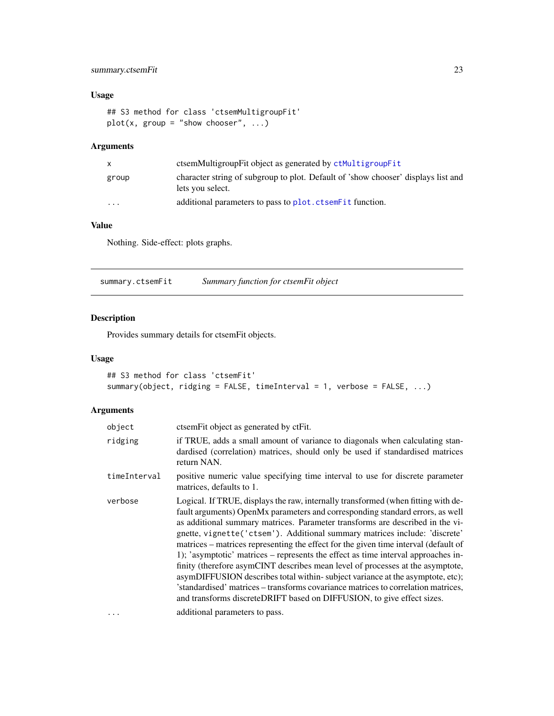# <span id="page-22-0"></span>summary.ctsemFit 23

# Usage

```
## S3 method for class 'ctsemMultigroupFit'
plot(x, group = "show chooser", ...)
```
# Arguments

|                         | ctsemMultigroupFit object as generated by ctMultigroupFit                                             |
|-------------------------|-------------------------------------------------------------------------------------------------------|
| group                   | character string of subgroup to plot. Default of 'show chooser' displays list and<br>lets you select. |
| $\cdot$ $\cdot$ $\cdot$ | additional parameters to pass to plot. ctsemeter function.                                            |

# Value

Nothing. Side-effect: plots graphs.

<span id="page-22-1"></span>

|  | summary.ctsemFit | Summary function for ctsemFit object |  |
|--|------------------|--------------------------------------|--|
|--|------------------|--------------------------------------|--|

# Description

Provides summary details for ctsemFit objects.

# Usage

```
## S3 method for class 'ctsemFit'
summary(object, ridging = FALSE, timeInterval = 1, verbose = FALSE, ...)
```

| object       | ctsemFit object as generated by ctFit.                                                                                                                                                                                                                                                                                                                                                                                                                                                                                                                                                                                                                                                                                                                                                                                                           |
|--------------|--------------------------------------------------------------------------------------------------------------------------------------------------------------------------------------------------------------------------------------------------------------------------------------------------------------------------------------------------------------------------------------------------------------------------------------------------------------------------------------------------------------------------------------------------------------------------------------------------------------------------------------------------------------------------------------------------------------------------------------------------------------------------------------------------------------------------------------------------|
| ridging      | if TRUE, adds a small amount of variance to diagonals when calculating stan-<br>dardised (correlation) matrices, should only be used if standardised matrices<br>return NAN.                                                                                                                                                                                                                                                                                                                                                                                                                                                                                                                                                                                                                                                                     |
| timeInterval | positive numeric value specifying time interval to use for discrete parameter<br>matrices, defaults to 1.                                                                                                                                                                                                                                                                                                                                                                                                                                                                                                                                                                                                                                                                                                                                        |
| verbose      | Logical. If TRUE, displays the raw, internally transformed (when fitting with de-<br>fault arguments) OpenMx parameters and corresponding standard errors, as well<br>as additional summary matrices. Parameter transforms are described in the vi-<br>gnette, vignette ('ctsem'). Additional summary matrices include: 'discrete'<br>matrices – matrices representing the effect for the given time interval (default of<br>1); 'asymptotic' matrices – represents the effect as time interval approaches in-<br>finity (therefore asymCINT describes mean level of processes at the asymptote,<br>asymDIFFUSION describes total within-subject variance at the asymptote, etc);<br>'standardised' matrices – transforms covariance matrices to correlation matrices,<br>and transforms discreteDRIFT based on DIFFUSION, to give effect sizes. |
|              | additional parameters to pass.                                                                                                                                                                                                                                                                                                                                                                                                                                                                                                                                                                                                                                                                                                                                                                                                                   |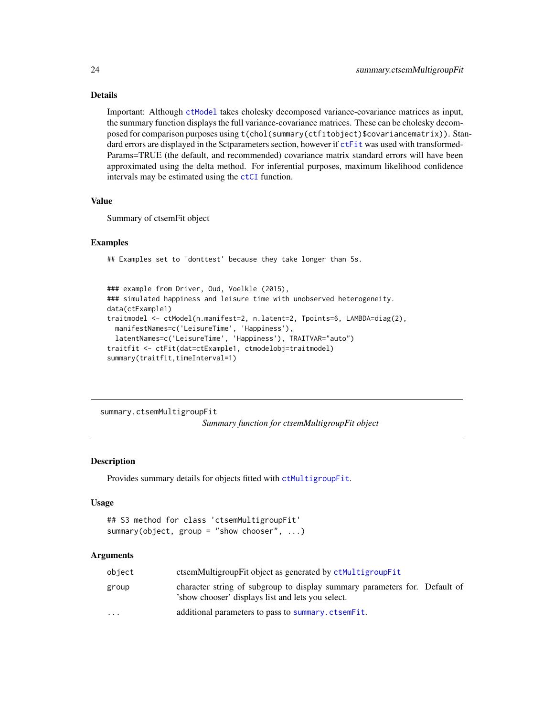# Details

Important: Although [ctModel](#page-0-0) takes cholesky decomposed variance-covariance matrices as input, the summary function displays the full variance-covariance matrices. These can be cholesky decomposed for comparison purposes using t(chol(summary(ctfitobject)\$covariancematrix)). Standard errors are displayed in the \$ctparameters section, however if [ctFit](#page-6-1) was used with transformed-Params=TRUE (the default, and recommended) covariance matrix standard errors will have been approximated using the delta method. For inferential purposes, maximum likelihood confidence intervals may be estimated using the [ctCI](#page-2-1) function.

### Value

Summary of ctsemFit object

#### Examples

## Examples set to 'donttest' because they take longer than 5s.

```
### example from Driver, Oud, Voelkle (2015),
### simulated happiness and leisure time with unobserved heterogeneity.
data(ctExample1)
traitmodel <- ctModel(n.manifest=2, n.latent=2, Tpoints=6, LAMBDA=diag(2),
 manifestNames=c('LeisureTime', 'Happiness'),
 latentNames=c('LeisureTime', 'Happiness'), TRAITVAR="auto")
traitfit <- ctFit(dat=ctExample1, ctmodelobj=traitmodel)
summary(traitfit,timeInterval=1)
```
summary.ctsemMultigroupFit

```
Summary function for ctsemMultigroupFit object
```
# **Description**

Provides summary details for objects fitted with [ctMultigroupFit](#page-13-1).

#### Usage

```
## S3 method for class 'ctsemMultigroupFit'
summary(object, group = "show chooser", ...)
```

| object                  | ctsemMultigroupFit object as generated by ctMultigroupFit                                                                       |
|-------------------------|---------------------------------------------------------------------------------------------------------------------------------|
| group                   | character string of subgroup to display summary parameters for. Default of<br>'show chooser' displays list and lets you select. |
| $\cdot$ $\cdot$ $\cdot$ | additional parameters to pass to summary.ctsemFit.                                                                              |

<span id="page-23-0"></span>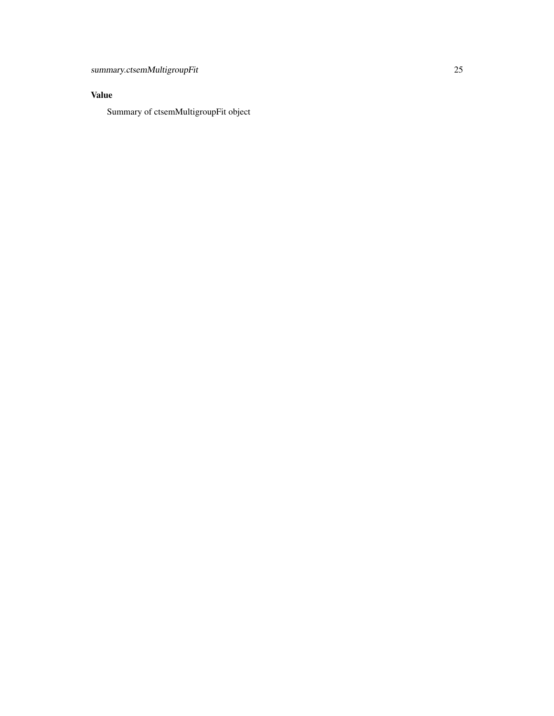# Value

Summary of ctsemMultigroupFit object